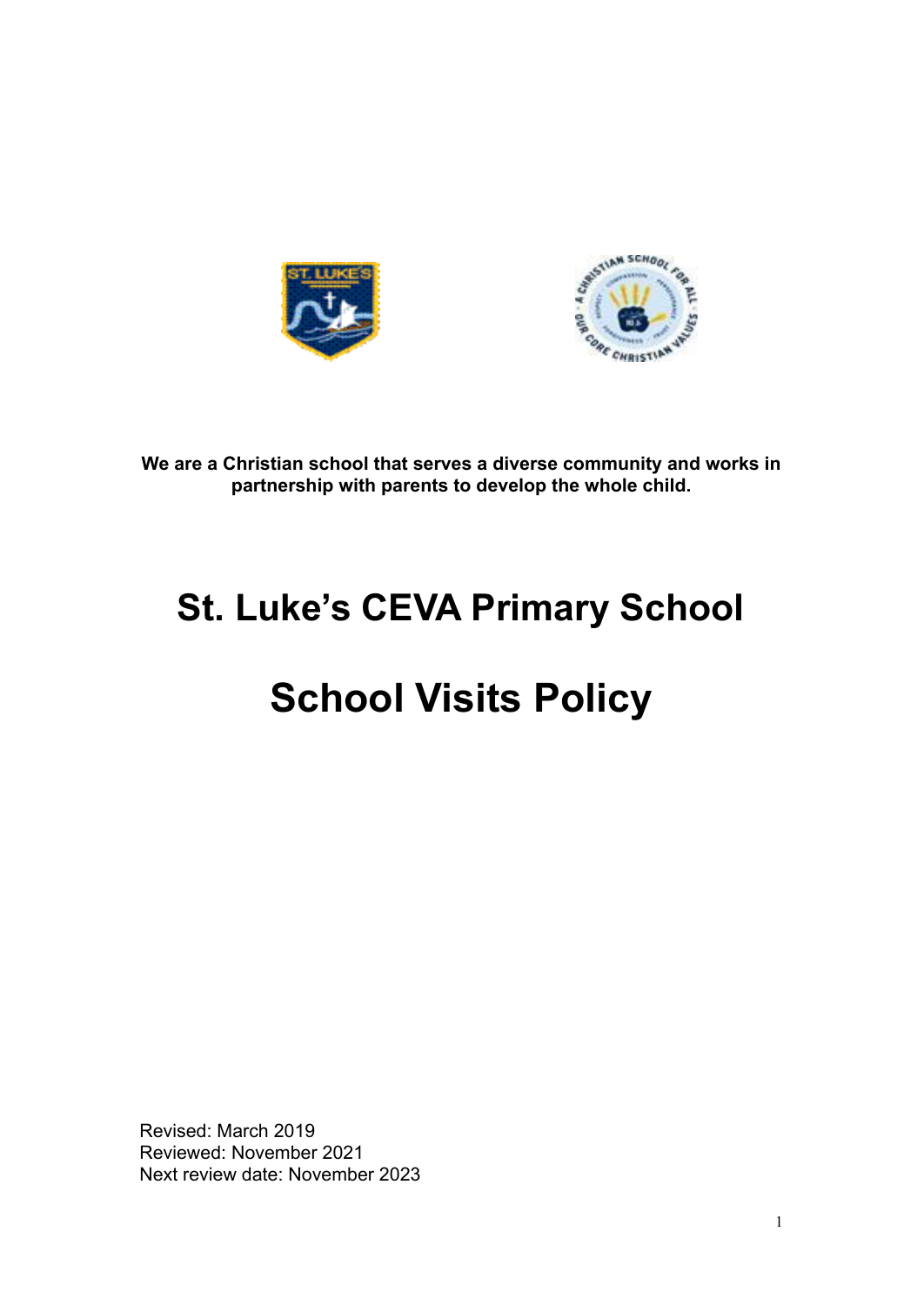



**We are a Christian school that serves a diverse community and works in partnership with parents to develop the whole child.**

# **St. Luke's CEVA Primary School**

# **School Visits Policy**

Revised: March 2019 Reviewed: November 2021 Next review date: November 2023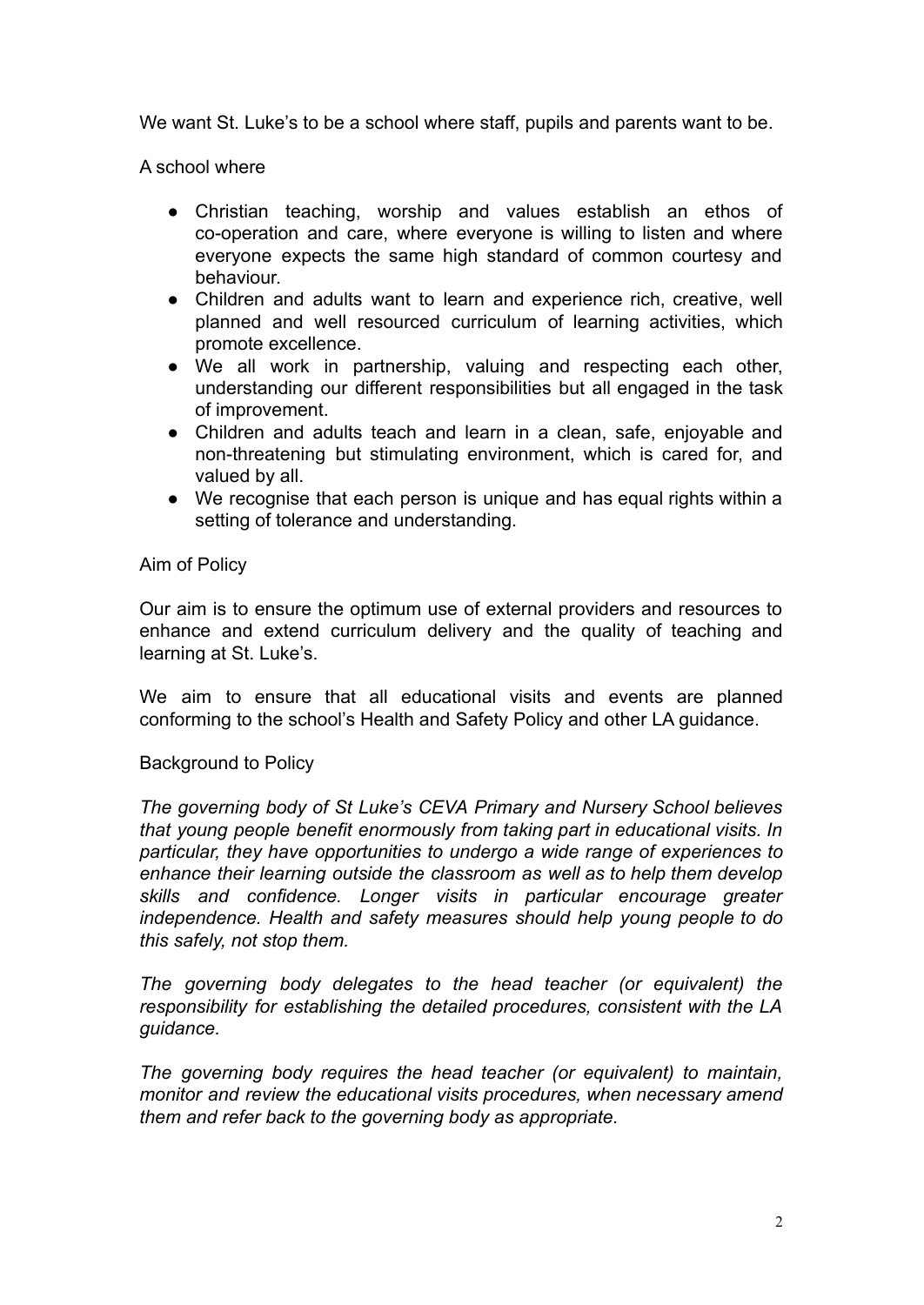We want St. Luke's to be a school where staff, pupils and parents want to be.

A school where

- Christian teaching, worship and values establish an ethos of co-operation and care, where everyone is willing to listen and where everyone expects the same high standard of common courtesy and behaviour.
- Children and adults want to learn and experience rich, creative, well planned and well resourced curriculum of learning activities, which promote excellence.
- We all work in partnership, valuing and respecting each other, understanding our different responsibilities but all engaged in the task of improvement.
- Children and adults teach and learn in a clean, safe, enjoyable and non-threatening but stimulating environment, which is cared for, and valued by all.
- We recognise that each person is unique and has equal rights within a setting of tolerance and understanding.

### Aim of Policy

Our aim is to ensure the optimum use of external providers and resources to enhance and extend curriculum delivery and the quality of teaching and learning at St. Luke's.

We aim to ensure that all educational visits and events are planned conforming to the school's Health and Safety Policy and other LA guidance.

#### Background to Policy

*The governing body of St Luke's CEVA Primary and Nursery School believes that young people benefit enormously from taking part in educational visits. In particular, they have opportunities to undergo a wide range of experiences to enhance their learning outside the classroom as well as to help them develop skills and confidence. Longer visits in particular encourage greater independence. Health and safety measures should help young people to do this safely, not stop them.*

*The governing body delegates to the head teacher (or equivalent) the responsibility for establishing the detailed procedures, consistent with the LA guidance.*

*The governing body requires the head teacher (or equivalent) to maintain, monitor and review the educational visits procedures, when necessary amend them and refer back to the governing body as appropriate.*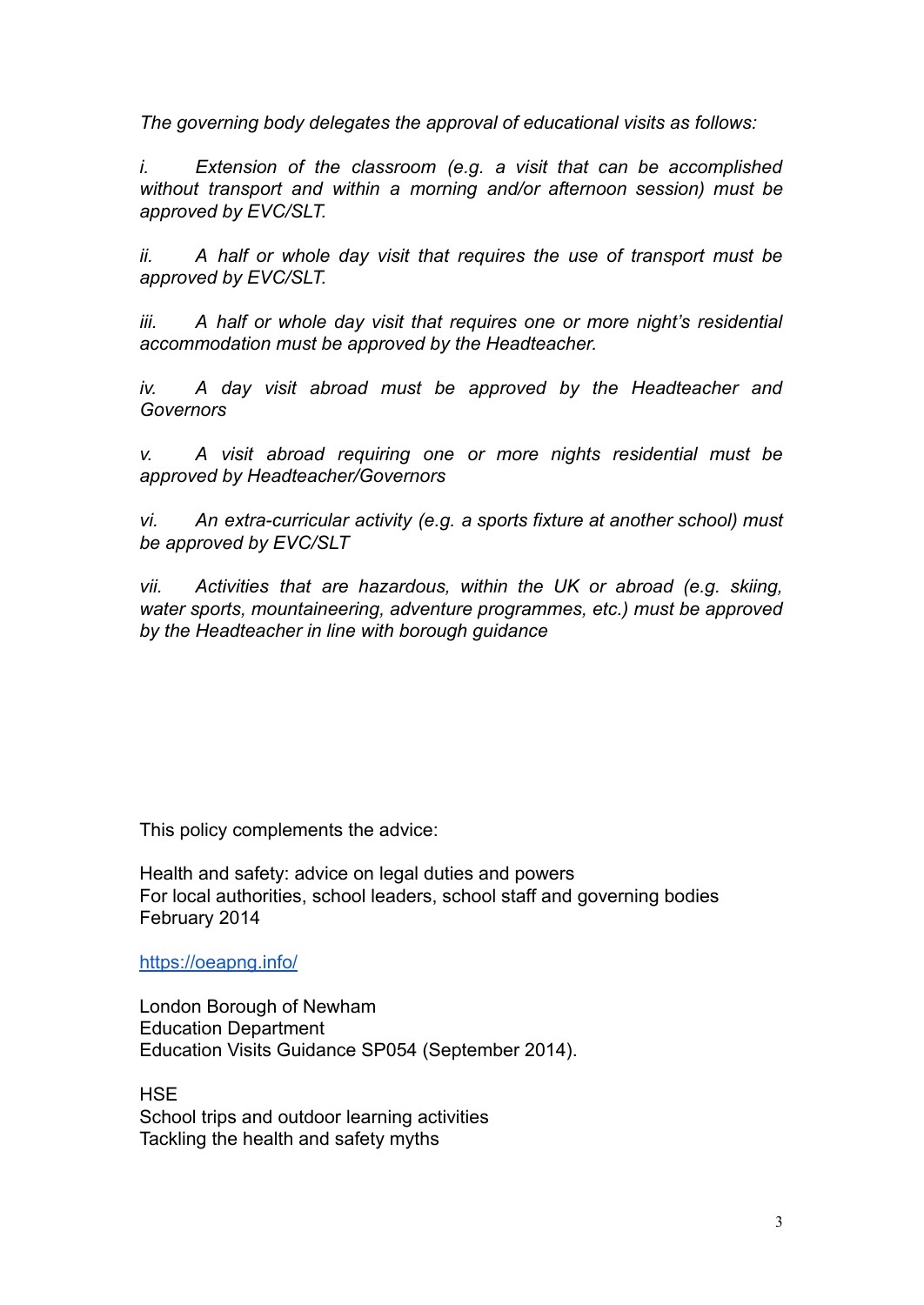*The governing body delegates the approval of educational visits as follows:*

*i. Extension of the classroom (e.g. a visit that can be accomplished without transport and within a morning and/or afternoon session) must be approved by EVC/SLT.*

*ii. A half or whole day visit that requires the use of transport must be approved by EVC/SLT.*

*iii. A half or whole day visit that requires one or more night's residential accommodation must be approved by the Headteacher.*

*iv. A day visit abroad must be approved by the Headteacher and Governors*

*v. A visit abroad requiring one or more nights residential must be approved by Headteacher/Governors*

*vi. An extra-curricular activity (e.g. a sports fixture at another school) must be approved by EVC/SLT*

*vii. Activities that are hazardous, within the UK or abroad (e.g. skiing, water sports, mountaineering, adventure programmes, etc.) must be approved by the Headteacher in line with borough guidance*

This policy complements the advice:

Health and safety: advice on legal duties and powers For local authorities, school leaders, school staff and governing bodies February 2014

https://oeapng.info/

London Borough of Newham Education Department Education Visits Guidance SP054 (September 2014).

**HSE** School trips and outdoor learning activities Tackling the health and safety myths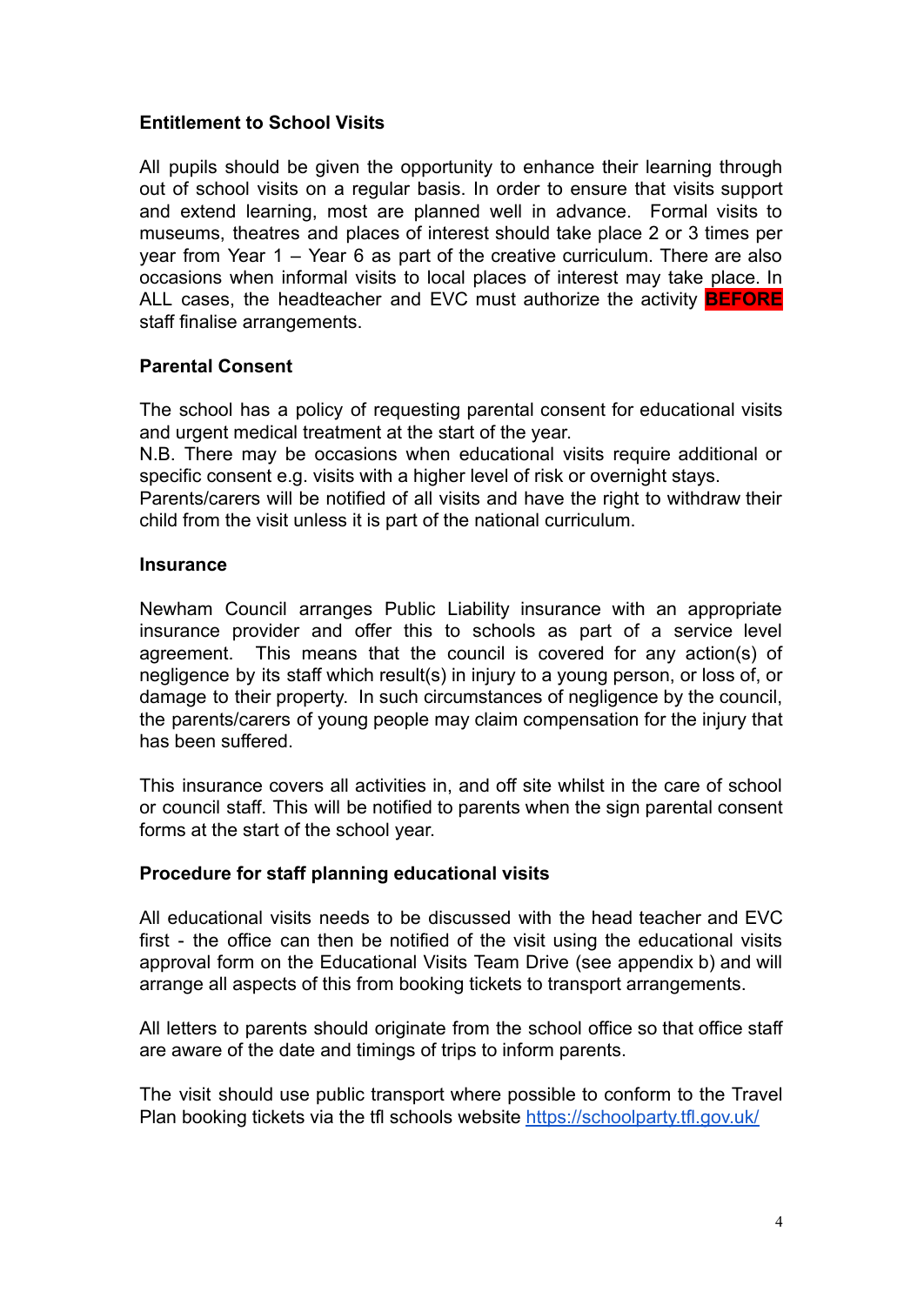# **Entitlement to School Visits**

All pupils should be given the opportunity to enhance their learning through out of school visits on a regular basis. In order to ensure that visits support and extend learning, most are planned well in advance. Formal visits to museums, theatres and places of interest should take place 2 or 3 times per year from Year 1 – Year 6 as part of the creative curriculum. There are also occasions when informal visits to local places of interest may take place. In ALL cases, the headteacher and EVC must authorize the activity **BEFORE** staff finalise arrangements.

### **Parental Consent**

The school has a policy of requesting parental consent for educational visits and urgent medical treatment at the start of the year.

N.B. There may be occasions when educational visits require additional or specific consent e.g. visits with a higher level of risk or overnight stays.

Parents/carers will be notified of all visits and have the right to withdraw their child from the visit unless it is part of the national curriculum.

#### **Insurance**

Newham Council arranges Public Liability insurance with an appropriate insurance provider and offer this to schools as part of a service level agreement. This means that the council is covered for any action(s) of negligence by its staff which result(s) in injury to a young person, or loss of, or damage to their property. In such circumstances of negligence by the council, the parents/carers of young people may claim compensation for the injury that has been suffered.

This insurance covers all activities in, and off site whilst in the care of school or council staff. This will be notified to parents when the sign parental consent forms at the start of the school year.

#### **Procedure for staff planning educational visits**

All educational visits needs to be discussed with the head teacher and EVC first - the office can then be notified of the visit using the educational visits approval form on the Educational Visits Team Drive (see appendix b) and will arrange all aspects of this from booking tickets to transport arrangements.

All letters to parents should originate from the school office so that office staff are aware of the date and timings of trips to inform parents.

The visit should use public transport where possible to conform to the Travel Plan booking tickets via the tfl schools website https://schoolparty.tfl.gov.uk/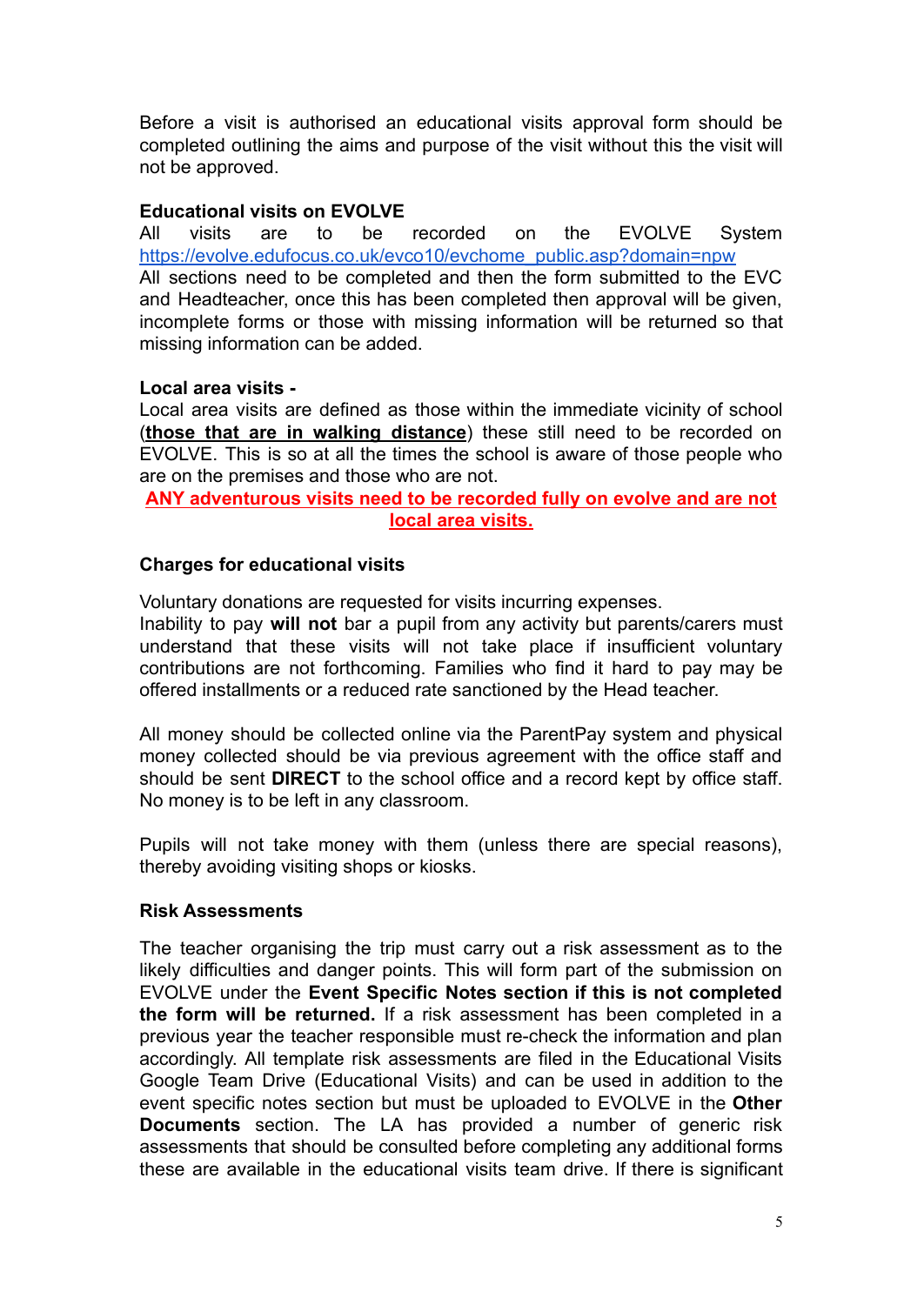Before a visit is authorised an educational visits approval form should be completed outlining the aims and purpose of the visit without this the visit will not be approved.

### **Educational visits on EVOLVE**

All visits are to be recorded on the EVOLVE System https://evolve.edufocus.co.uk/evco10/evchome\_public.asp?domain=npw All sections need to be completed and then the form submitted to the EVC and Headteacher, once this has been completed then approval will be given, incomplete forms or those with missing information will be returned so that missing information can be added.

### **Local area visits -**

Local area visits are defined as those within the immediate vicinity of school (**those that are in walking distance**) these still need to be recorded on EVOLVE. This is so at all the times the school is aware of those people who are on the premises and those who are not.

**ANY adventurous visits need to be recorded fully on evolve and are not local area visits.**

### **Charges for educational visits**

Voluntary donations are requested for visits incurring expenses.

Inability to pay **will not** bar a pupil from any activity but parents/carers must understand that these visits will not take place if insufficient voluntary contributions are not forthcoming. Families who find it hard to pay may be offered installments or a reduced rate sanctioned by the Head teacher.

All money should be collected online via the ParentPay system and physical money collected should be via previous agreement with the office staff and should be sent **DIRECT** to the school office and a record kept by office staff. No money is to be left in any classroom.

Pupils will not take money with them (unless there are special reasons), thereby avoiding visiting shops or kiosks.

#### **Risk Assessments**

The teacher organising the trip must carry out a risk assessment as to the likely difficulties and danger points. This will form part of the submission on EVOLVE under the **Event Specific Notes section if this is not completed the form will be returned.** If a risk assessment has been completed in a previous year the teacher responsible must re-check the information and plan accordingly. All template risk assessments are filed in the Educational Visits Google Team Drive (Educational Visits) and can be used in addition to the event specific notes section but must be uploaded to EVOLVE in the **Other Documents** section. The LA has provided a number of generic risk assessments that should be consulted before completing any additional forms these are available in the educational visits team drive. If there is significant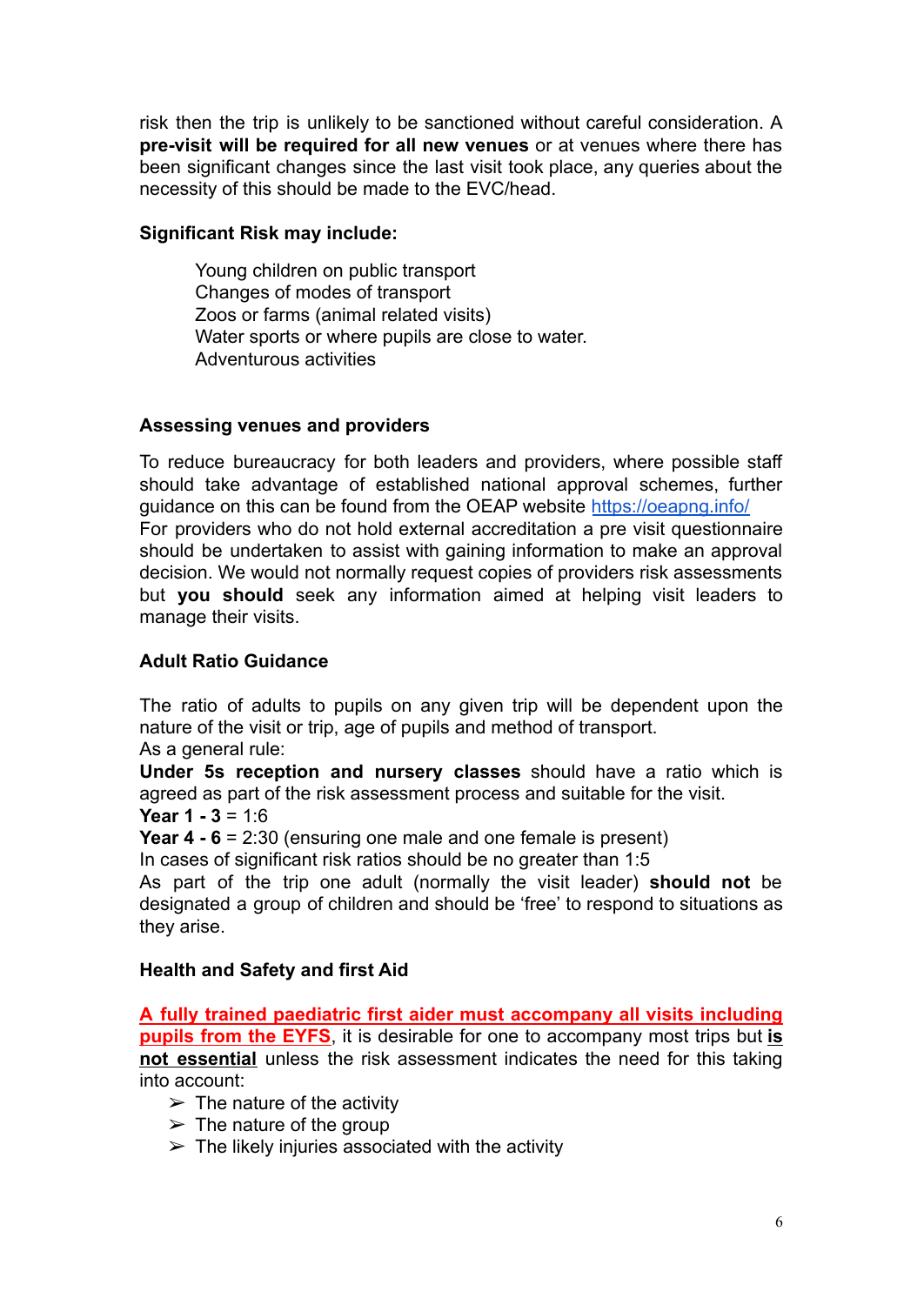risk then the trip is unlikely to be sanctioned without careful consideration. A **pre-visit will be required for all new venues** or at venues where there has been significant changes since the last visit took place, any queries about the necessity of this should be made to the EVC/head.

### **Significant Risk may include:**

Young children on public transport Changes of modes of transport Zoos or farms (animal related visits) Water sports or where pupils are close to water. Adventurous activities

### **Assessing venues and providers**

To reduce bureaucracy for both leaders and providers, where possible staff should take advantage of established national approval schemes, further guidance on this can be found from the OEAP website https://oeapng.info/ For providers who do not hold external accreditation a pre visit questionnaire should be undertaken to assist with gaining information to make an approval decision. We would not normally request copies of providers risk assessments but **you should** seek any information aimed at helping visit leaders to manage their visits.

## **Adult Ratio Guidance**

The ratio of adults to pupils on any given trip will be dependent upon the nature of the visit or trip, age of pupils and method of transport. As a general rule:

**Under 5s reception and nursery classes** should have a ratio which is agreed as part of the risk assessment process and suitable for the visit.

**Year 1 - 3** = 1:6

**Year 4 - 6** = 2:30 (ensuring one male and one female is present)

In cases of significant risk ratios should be no greater than 1:5

As part of the trip one adult (normally the visit leader) **should not** be designated a group of children and should be 'free' to respond to situations as they arise.

# **Health and Safety and first Aid**

**A fully trained paediatric first aider must accompany all visits including pupils from the EYFS**, it is desirable for one to accompany most trips but **is not essential** unless the risk assessment indicates the need for this taking into account:

- $\triangleright$  The nature of the activity
- $\triangleright$  The nature of the group
- $\triangleright$  The likely injuries associated with the activity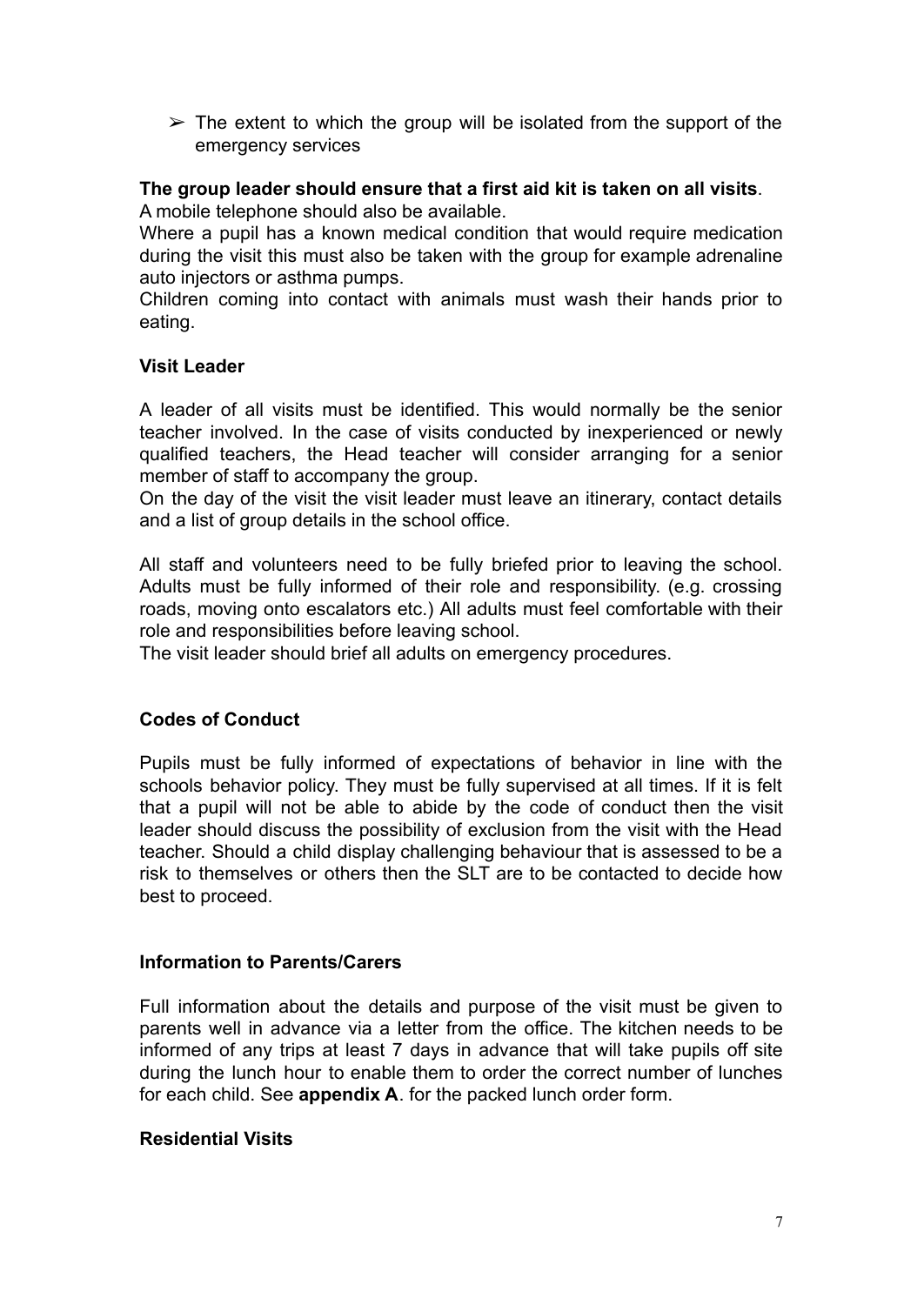$\geq$  The extent to which the group will be isolated from the support of the emergency services

## **The group leader should ensure that a first aid kit is taken on all visits**.

A mobile telephone should also be available.

Where a pupil has a known medical condition that would require medication during the visit this must also be taken with the group for example adrenaline auto injectors or asthma pumps.

Children coming into contact with animals must wash their hands prior to eating.

### **Visit Leader**

A leader of all visits must be identified. This would normally be the senior teacher involved. In the case of visits conducted by inexperienced or newly qualified teachers, the Head teacher will consider arranging for a senior member of staff to accompany the group.

On the day of the visit the visit leader must leave an itinerary, contact details and a list of group details in the school office.

All staff and volunteers need to be fully briefed prior to leaving the school. Adults must be fully informed of their role and responsibility. (e.g. crossing roads, moving onto escalators etc.) All adults must feel comfortable with their role and responsibilities before leaving school.

The visit leader should brief all adults on emergency procedures.

# **Codes of Conduct**

Pupils must be fully informed of expectations of behavior in line with the schools behavior policy. They must be fully supervised at all times. If it is felt that a pupil will not be able to abide by the code of conduct then the visit leader should discuss the possibility of exclusion from the visit with the Head teacher. Should a child display challenging behaviour that is assessed to be a risk to themselves or others then the SLT are to be contacted to decide how best to proceed.

#### **Information to Parents/Carers**

Full information about the details and purpose of the visit must be given to parents well in advance via a letter from the office. The kitchen needs to be informed of any trips at least 7 days in advance that will take pupils off site during the lunch hour to enable them to order the correct number of lunches for each child. See **appendix A**. for the packed lunch order form.

#### **Residential Visits**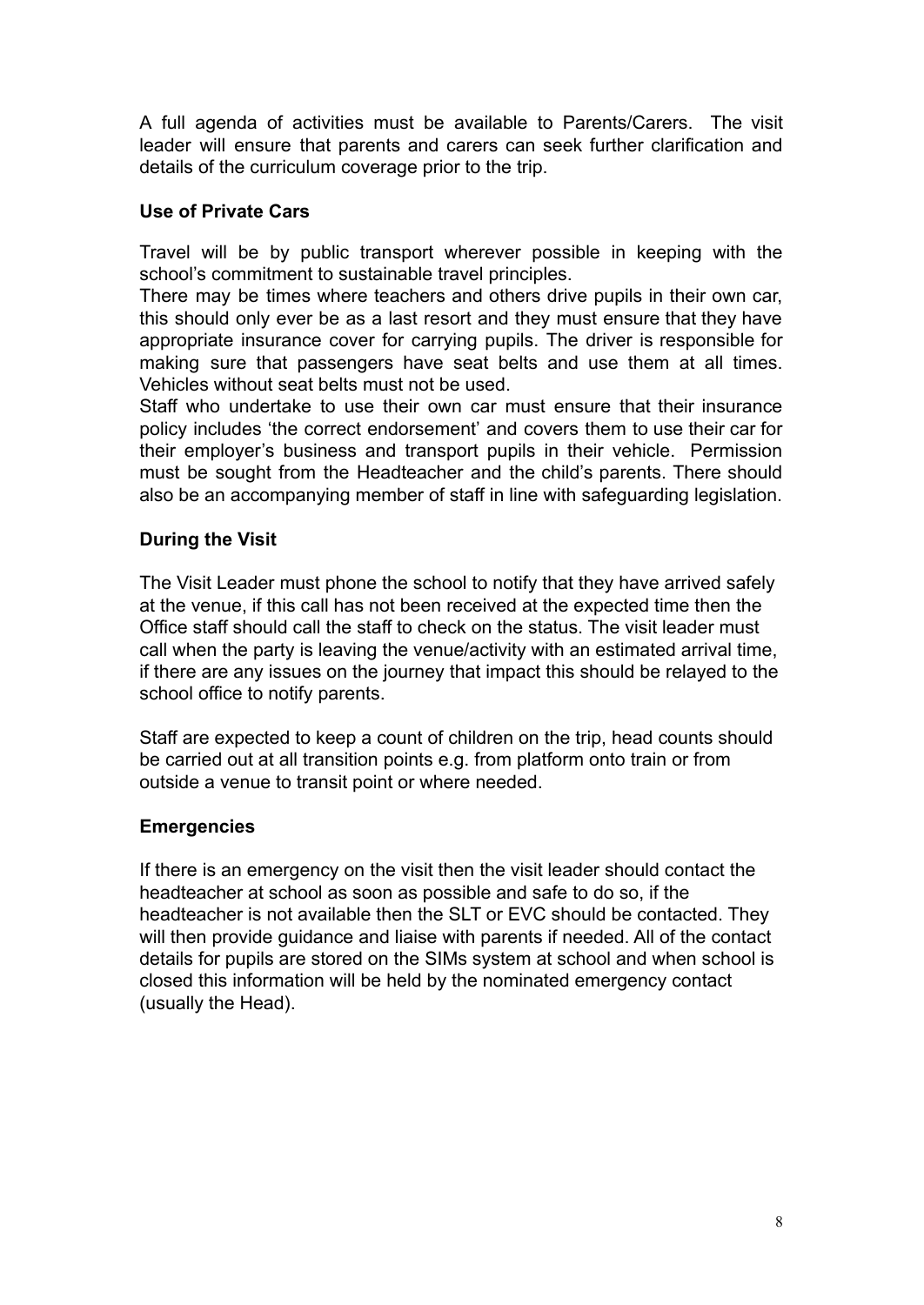A full agenda of activities must be available to Parents/Carers. The visit leader will ensure that parents and carers can seek further clarification and details of the curriculum coverage prior to the trip.

# **Use of Private Cars**

Travel will be by public transport wherever possible in keeping with the school's commitment to sustainable travel principles.

There may be times where teachers and others drive pupils in their own car, this should only ever be as a last resort and they must ensure that they have appropriate insurance cover for carrying pupils. The driver is responsible for making sure that passengers have seat belts and use them at all times. Vehicles without seat belts must not be used.

Staff who undertake to use their own car must ensure that their insurance policy includes 'the correct endorsement' and covers them to use their car for their employer's business and transport pupils in their vehicle. Permission must be sought from the Headteacher and the child's parents. There should also be an accompanying member of staff in line with safeguarding legislation.

### **During the Visit**

The Visit Leader must phone the school to notify that they have arrived safely at the venue, if this call has not been received at the expected time then the Office staff should call the staff to check on the status. The visit leader must call when the party is leaving the venue/activity with an estimated arrival time, if there are any issues on the journey that impact this should be relayed to the school office to notify parents.

Staff are expected to keep a count of children on the trip, head counts should be carried out at all transition points e.g. from platform onto train or from outside a venue to transit point or where needed.

#### **Emergencies**

If there is an emergency on the visit then the visit leader should contact the headteacher at school as soon as possible and safe to do so, if the headteacher is not available then the SLT or EVC should be contacted. They will then provide guidance and liaise with parents if needed. All of the contact details for pupils are stored on the SIMs system at school and when school is closed this information will be held by the nominated emergency contact (usually the Head).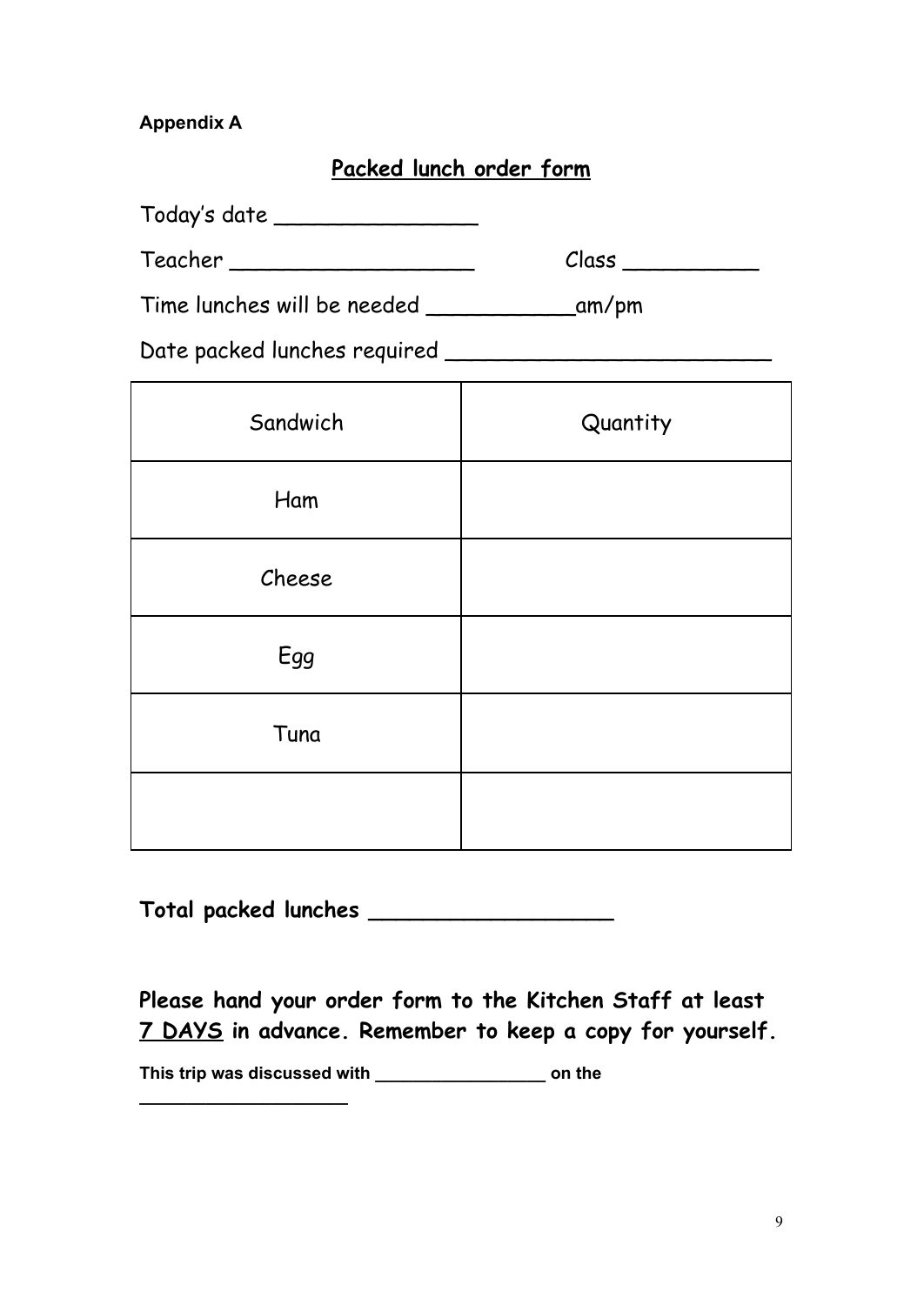# **Appendix A**

# **Packed lunch order form**

Today's date \_\_\_\_\_\_\_\_\_\_\_\_\_\_\_

Teacher \_\_\_\_\_\_\_\_\_\_\_\_\_\_\_\_\_\_ Class \_\_\_\_\_\_\_\_\_\_

Time lunches will be needed \_\_\_\_\_\_\_\_\_\_\_am/pm

Date packed lunches required \_\_\_\_\_\_\_\_\_\_\_\_\_\_\_\_\_\_\_\_\_\_\_\_

| Sandwich | Quantity |
|----------|----------|
| Ham      |          |
| Cheese   |          |
| Egg      |          |
| Tuna     |          |
|          |          |

**Total packed lunches \_\_\_\_\_\_\_\_\_\_\_\_\_\_\_\_\_\_**

**Please hand your order form to the Kitchen Staff at least 7 DAYS in advance. Remember to keep a copy for yourself.**

**This trip was discussed with \_\_\_\_\_\_\_\_\_\_\_\_\_\_\_\_\_\_ on the**

**\_\_\_\_\_\_\_\_\_\_\_\_\_\_\_\_\_\_\_\_\_\_**